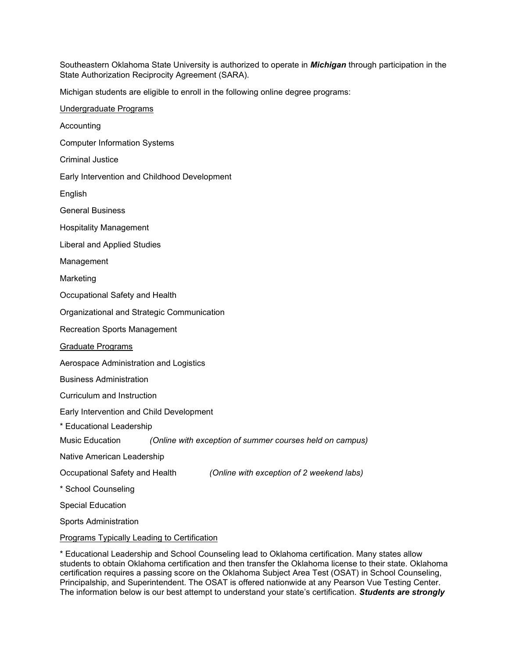Southeastern Oklahoma State University is authorized to operate in *Michigan* through participation in the State Authorization Reciprocity Agreement (SARA).

Michigan students are eligible to enroll in the following online degree programs:

| Undergraduate Programs                                                      |
|-----------------------------------------------------------------------------|
| Accounting                                                                  |
| <b>Computer Information Systems</b>                                         |
| <b>Criminal Justice</b>                                                     |
| Early Intervention and Childhood Development                                |
| English                                                                     |
| <b>General Business</b>                                                     |
| <b>Hospitality Management</b>                                               |
| Liberal and Applied Studies                                                 |
| Management                                                                  |
| Marketing                                                                   |
| Occupational Safety and Health                                              |
| Organizational and Strategic Communication                                  |
| <b>Recreation Sports Management</b>                                         |
| <b>Graduate Programs</b>                                                    |
| Aerospace Administration and Logistics                                      |
| <b>Business Administration</b>                                              |
| Curriculum and Instruction                                                  |
| Early Intervention and Child Development                                    |
| * Educational Leadership                                                    |
| Music Education (Online with exception of summer courses held on campus)    |
| Native American Leadership                                                  |
| Occupational Safety and Health<br>(Online with exception of 2 weekend labs) |
| * School Counseling                                                         |
| <b>Special Education</b>                                                    |
| <b>Sports Administration</b>                                                |
| <b>Programs Typically Leading to Certification</b>                          |
|                                                                             |

\* Educational Leadership and School Counseling lead to Oklahoma certification. Many states allow students to obtain Oklahoma certification and then transfer the Oklahoma license to their state. Oklahoma certification requires a passing score on the Oklahoma Subject Area Test (OSAT) in School Counseling, Principalship, and Superintendent. The OSAT is offered nationwide at any Pearson Vue Testing Center. The information below is our best attempt to understand your state's certification. *Students are strongly*